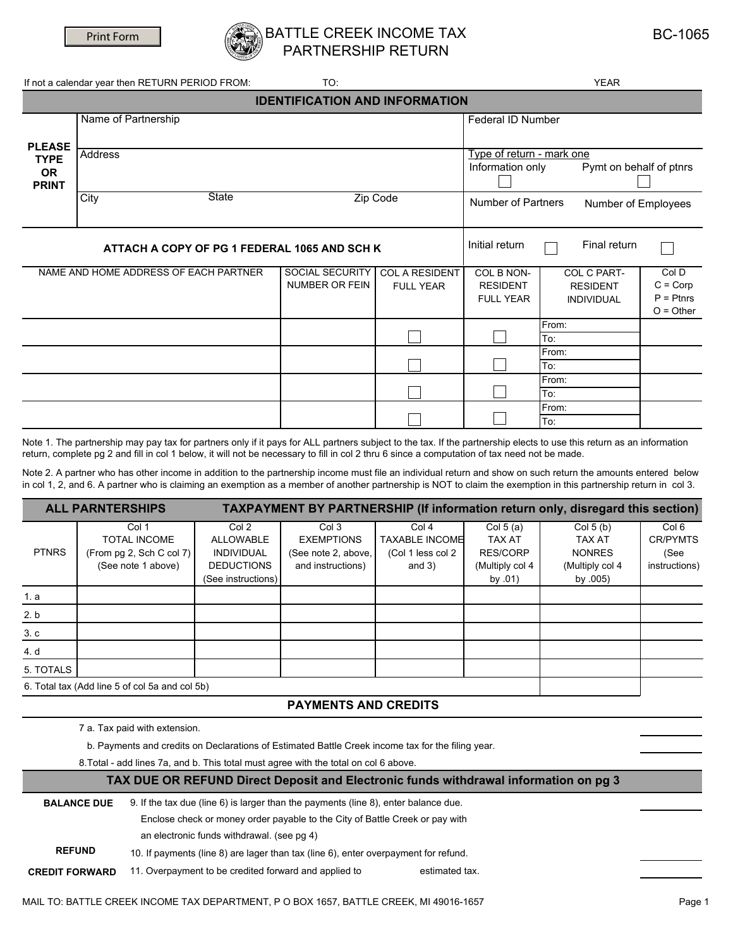

### ATTLE CREEK INCOME TAX PARTNERSHIP RETURN

| <b>BC-1065</b> |
|----------------|
|----------------|

**YEAR** 

To:

If not a calendar year then RETURN PERIOD FROM:

TO:

| <b>IDENTIFICATION AND INFORMATION</b>        |                                                  |                                                                          |                                           |                                                   |                                                     |                                                   |  |  |
|----------------------------------------------|--------------------------------------------------|--------------------------------------------------------------------------|-------------------------------------------|---------------------------------------------------|-----------------------------------------------------|---------------------------------------------------|--|--|
| <b>PLEASE</b>                                | Name of Partnership                              |                                                                          |                                           |                                                   | Federal ID Number                                   |                                                   |  |  |
| <b>TYPE</b><br><b>OR</b><br><b>PRINT</b>     | <b>Address</b>                                   | Type of return - mark one<br>Pymt on behalf of ptnrs<br>Information only |                                           |                                                   |                                                     |                                                   |  |  |
|                                              | <b>State</b><br>Zip Code<br>City<br>$\mathbf{v}$ |                                                                          |                                           |                                                   | Number of Partners<br>Number of Employees           |                                                   |  |  |
| ATTACH A COPY OF PG 1 FEDERAL 1065 AND SCH K |                                                  |                                                                          | Initial return                            | Final return                                      |                                                     |                                                   |  |  |
|                                              | NAME AND HOME ADDRESS OF EACH PARTNER            | SOCIAL SECURITY<br><b>NUMBER OR FEIN</b>                                 | <b>COL A RESIDENT</b><br><b>FULL YEAR</b> | COL B NON-<br><b>RESIDENT</b><br><b>FULL YEAR</b> | COL C PART-<br><b>RESIDENT</b><br><b>INDIVIDUAL</b> | Col D<br>$C = Corp$<br>$P =$ Ptnrs<br>$O = Other$ |  |  |
|                                              |                                                  |                                                                          |                                           |                                                   | From:<br>To:                                        |                                                   |  |  |
|                                              |                                                  |                                                                          |                                           |                                                   | From:<br>To:                                        |                                                   |  |  |
|                                              |                                                  |                                                                          |                                           |                                                   | From:<br>To:                                        |                                                   |  |  |
|                                              |                                                  |                                                                          |                                           |                                                   | From:                                               |                                                   |  |  |

Note 1. The partnership may pay tax for partners only if it pays for ALL partners subject to the tax. If the partnership elects to use this return as an information return, complete pg 2 and fill in col 1 below, it will not be necessary to fill in col 2 thru 6 since a computation of tax need not be made.

Note 2. A partner who has other income in addition to the partnership income must file an individual return and show on such return the amounts entered below in col 1, 2, and 6. A partner who is claiming an exemption as a member of another partnership is NOT to claim the exemption in this partnership return in col 3.

|                                                | <b>ALL PARNTERSHIPS</b>                                                        |                                                                                    |                                                                        |                                                                 |                                                                         | <b>TAXPAYMENT BY PARTNERSHIP (If information return only, disregard this section)</b> |                                                              |
|------------------------------------------------|--------------------------------------------------------------------------------|------------------------------------------------------------------------------------|------------------------------------------------------------------------|-----------------------------------------------------------------|-------------------------------------------------------------------------|---------------------------------------------------------------------------------------|--------------------------------------------------------------|
| <b>PTNRS</b>                                   | Col 1<br><b>TOTAL INCOME</b><br>(From pg 2, Sch C col 7)<br>(See note 1 above) | Col 2<br>ALLOWABLE<br><b>INDIVIDUAL</b><br><b>DEDUCTIONS</b><br>(See instructions) | Col 3<br><b>EXEMPTIONS</b><br>(See note 2, above,<br>and instructions) | Col 4<br><b>TAXABLE INCOME</b><br>(Col 1 less col 2<br>and $3)$ | Col $5(a)$<br>TAX AT<br><b>RES/CORP</b><br>(Multiply col 4<br>by $.01)$ | Col $5(b)$<br>TAX AT<br><b>NONRES</b><br>(Multiply col 4<br>by .005)                  | Col <sub>6</sub><br><b>CR/PYMTS</b><br>(See<br>instructions) |
| 1. a                                           |                                                                                |                                                                                    |                                                                        |                                                                 |                                                                         |                                                                                       |                                                              |
| 2. b                                           |                                                                                |                                                                                    |                                                                        |                                                                 |                                                                         |                                                                                       |                                                              |
| 3.c                                            |                                                                                |                                                                                    |                                                                        |                                                                 |                                                                         |                                                                                       |                                                              |
| 4. d                                           |                                                                                |                                                                                    |                                                                        |                                                                 |                                                                         |                                                                                       |                                                              |
| 5. TOTALS                                      |                                                                                |                                                                                    |                                                                        |                                                                 |                                                                         |                                                                                       |                                                              |
| 6. Total tax (Add line 5 of col 5a and col 5b) |                                                                                |                                                                                    |                                                                        |                                                                 |                                                                         |                                                                                       |                                                              |

### **PAYMENTS AND CREDITS**

7 a. Tax paid with extension.

b. Payments and credits on Declarations of Estimated Battle Creek income tax for the filing year.

8. Total - add lines 7a, and b. This total must agree with the total on col 6 above.

#### TAX DUE OR REFUND Direct Deposit and Electronic funds withdrawal information on pg 3

| <b>BALANCE DUE</b>    | 9. If the tax due (line 6) is larger than the payments (line 8), enter balance due. |                |  |  |  |  |
|-----------------------|-------------------------------------------------------------------------------------|----------------|--|--|--|--|
|                       | Enclose check or money order payable to the City of Battle Creek or pay with        |                |  |  |  |  |
|                       | an electronic funds withdrawal. (see pg 4)                                          |                |  |  |  |  |
| <b>REFUND</b>         | 10. If payments (line 8) are lager than tax (line 6), enter overpayment for refund. |                |  |  |  |  |
| <b>CREDIT FORWARD</b> | 11. Overpayment to be credited forward and applied to                               | estimated tax. |  |  |  |  |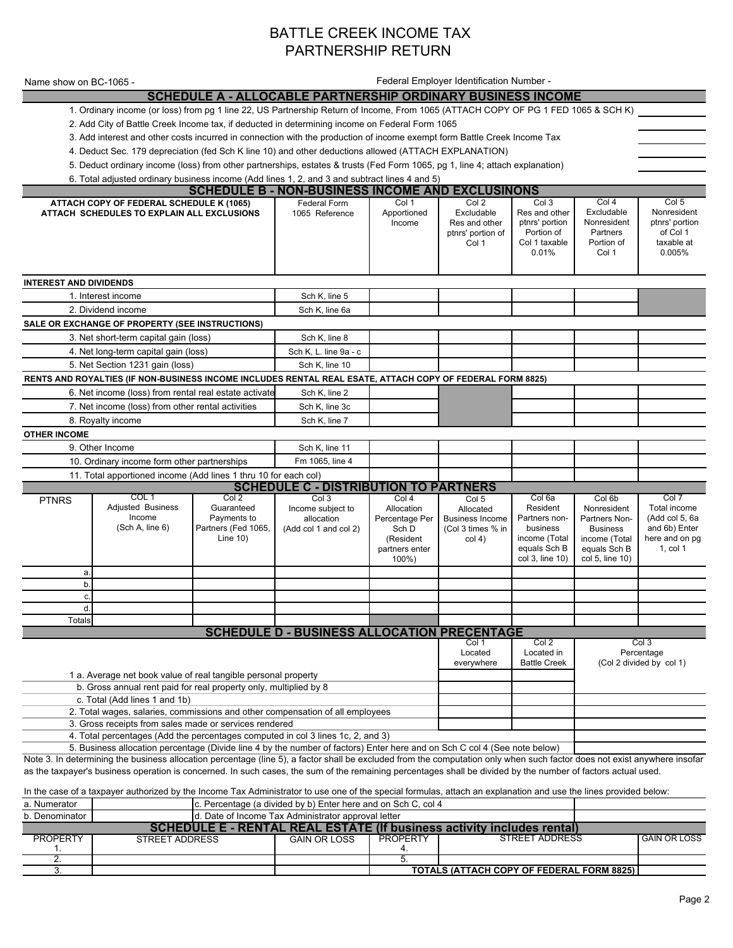## BATTLE CREEK INCOME TAX PARTNERSHIP RETURN

| Name show on BC-1065 -                                                                                                       |                                                                                                                                                                                                                                                                                                                                            |                                                                 |                                                             |                                                                               | Federal Employer Identification Number -                           |                                                                                           |                                                                                                     |                                                                               |
|------------------------------------------------------------------------------------------------------------------------------|--------------------------------------------------------------------------------------------------------------------------------------------------------------------------------------------------------------------------------------------------------------------------------------------------------------------------------------------|-----------------------------------------------------------------|-------------------------------------------------------------|-------------------------------------------------------------------------------|--------------------------------------------------------------------|-------------------------------------------------------------------------------------------|-----------------------------------------------------------------------------------------------------|-------------------------------------------------------------------------------|
|                                                                                                                              |                                                                                                                                                                                                                                                                                                                                            |                                                                 | SCHEDULE A - ALLOCABLE PARTNERSHIP ORDINARY BUSINESS INCOME |                                                                               |                                                                    |                                                                                           |                                                                                                     |                                                                               |
|                                                                                                                              | 1. Ordinary income (or loss) from pg 1 line 22, US Partnership Return of Income, From 1065 (ATTACH COPY OF PG 1 FED 1065 & SCH K)                                                                                                                                                                                                          |                                                                 |                                                             |                                                                               |                                                                    |                                                                                           |                                                                                                     |                                                                               |
| 2. Add City of Battle Creek Income tax, if deducted in determining income on Federal Form 1065                               |                                                                                                                                                                                                                                                                                                                                            |                                                                 |                                                             |                                                                               |                                                                    |                                                                                           |                                                                                                     |                                                                               |
| 3. Add interest and other costs incurred in connection with the production of income exempt form Battle Creek Income Tax     |                                                                                                                                                                                                                                                                                                                                            |                                                                 |                                                             |                                                                               |                                                                    |                                                                                           |                                                                                                     |                                                                               |
| 4. Deduct Sec. 179 depreciation (fed Sch K line 10) and other deductions allowed (ATTACH EXPLANATION)                        |                                                                                                                                                                                                                                                                                                                                            |                                                                 |                                                             |                                                                               |                                                                    |                                                                                           |                                                                                                     |                                                                               |
| 5. Deduct ordinary income (loss) from other partnerships, estates & trusts (Fed Form 1065, pg 1, line 4; attach explanation) |                                                                                                                                                                                                                                                                                                                                            |                                                                 |                                                             |                                                                               |                                                                    |                                                                                           |                                                                                                     |                                                                               |
|                                                                                                                              | 6. Total adjusted ordinary business income (Add lines 1, 2, and 3 and subtract lines 4 and 5)                                                                                                                                                                                                                                              |                                                                 |                                                             |                                                                               |                                                                    |                                                                                           |                                                                                                     |                                                                               |
|                                                                                                                              |                                                                                                                                                                                                                                                                                                                                            |                                                                 | <b>SCHEDULE B - NON-BUSINESS INCOME AND EXCLUSINONS</b>     |                                                                               |                                                                    |                                                                                           |                                                                                                     |                                                                               |
|                                                                                                                              | ATTACH COPY OF FEDERAL SCHEDULE K (1065)<br>ATTACH SCHEDULES TO EXPLAIN ALL EXCLUSIONS                                                                                                                                                                                                                                                     |                                                                 | Federal Form<br>1065 Reference                              | Col 1<br>Apportioned<br>Income                                                | Col 2<br>Excludable<br>Res and other<br>ptnrs' portion of<br>Col 1 | Col 3<br>Res and other<br>ptnrs' portion<br>Portion of<br>Col 1 taxable<br>0.01%          | Col 4<br>Excludable<br>Nonresident<br>Partners<br>Portion of<br>Col 1                               | Col 5<br>Nonresident<br>ptnrs' portion<br>of Col 1<br>taxable at<br>0.005%    |
| <b>INTEREST AND DIVIDENDS</b>                                                                                                |                                                                                                                                                                                                                                                                                                                                            |                                                                 |                                                             |                                                                               |                                                                    |                                                                                           |                                                                                                     |                                                                               |
|                                                                                                                              | 1. Interest income                                                                                                                                                                                                                                                                                                                         |                                                                 | Sch K, line 5                                               |                                                                               |                                                                    |                                                                                           |                                                                                                     |                                                                               |
|                                                                                                                              | 2. Dividend income                                                                                                                                                                                                                                                                                                                         |                                                                 | Sch K, line 6a                                              |                                                                               |                                                                    |                                                                                           |                                                                                                     |                                                                               |
|                                                                                                                              | SALE OR EXCHANGE OF PROPERTY (SEE INSTRUCTIONS)                                                                                                                                                                                                                                                                                            |                                                                 |                                                             |                                                                               |                                                                    |                                                                                           |                                                                                                     |                                                                               |
|                                                                                                                              | 3. Net short-term capital gain (loss)                                                                                                                                                                                                                                                                                                      |                                                                 | Sch K, line 8                                               |                                                                               |                                                                    |                                                                                           |                                                                                                     |                                                                               |
|                                                                                                                              | 4. Net long-term capital gain (loss)                                                                                                                                                                                                                                                                                                       |                                                                 | Sch K, L. line 9a - c                                       |                                                                               |                                                                    |                                                                                           |                                                                                                     |                                                                               |
|                                                                                                                              | 5. Net Section 1231 gain (loss)                                                                                                                                                                                                                                                                                                            |                                                                 | Sch K, line 10                                              |                                                                               |                                                                    |                                                                                           |                                                                                                     |                                                                               |
|                                                                                                                              | RENTS AND ROYALTIES (IF NON-BUSINESS INCOME INCLUDES RENTAL REAL ESATE, ATTACH COPY OF FEDERAL FORM 8825)                                                                                                                                                                                                                                  |                                                                 |                                                             |                                                                               |                                                                    |                                                                                           |                                                                                                     |                                                                               |
| 6. Net income (loss) from rental real estate activate                                                                        |                                                                                                                                                                                                                                                                                                                                            | Sch K, line 2                                                   |                                                             |                                                                               |                                                                    |                                                                                           |                                                                                                     |                                                                               |
|                                                                                                                              | 7. Net income (loss) from other rental activities                                                                                                                                                                                                                                                                                          |                                                                 | Sch K, line 3c                                              |                                                                               |                                                                    |                                                                                           |                                                                                                     |                                                                               |
|                                                                                                                              | 8. Royalty income                                                                                                                                                                                                                                                                                                                          |                                                                 | Sch K, line 7                                               |                                                                               |                                                                    |                                                                                           |                                                                                                     |                                                                               |
| <b>OTHER INCOME</b>                                                                                                          |                                                                                                                                                                                                                                                                                                                                            |                                                                 |                                                             |                                                                               |                                                                    |                                                                                           |                                                                                                     |                                                                               |
|                                                                                                                              | 9. Other Income                                                                                                                                                                                                                                                                                                                            |                                                                 | Sch K, line 11                                              |                                                                               |                                                                    |                                                                                           |                                                                                                     |                                                                               |
|                                                                                                                              | 10. Ordinary income form other partnerships                                                                                                                                                                                                                                                                                                |                                                                 | Fm 1065, line 4                                             |                                                                               |                                                                    |                                                                                           |                                                                                                     |                                                                               |
|                                                                                                                              | 11. Total apportioned income (Add lines 1 thru 10 for each col)                                                                                                                                                                                                                                                                            |                                                                 | <b>SCHEDULE C - DISTRIBUTION TO PARTNERS</b>                |                                                                               |                                                                    |                                                                                           |                                                                                                     |                                                                               |
| <b>PTNRS</b>                                                                                                                 | COL 1                                                                                                                                                                                                                                                                                                                                      | Col 2                                                           | Col 3                                                       | Col 4                                                                         | Col 5                                                              | Col 6a                                                                                    | Col 6b                                                                                              | Col 7                                                                         |
|                                                                                                                              | <b>Adjusted Business</b><br>Income<br>(Sch A, line 6)                                                                                                                                                                                                                                                                                      | Guaranteed<br>Payments to<br>Partners (Fed 1065,<br>Line $10$ ) | Income subject to<br>allocation<br>(Add col 1 and col 2)    | Allocation<br>Percentage Per<br>Sch D<br>(Resident<br>partners enter<br>100%) | Allocated<br><b>Business Income</b><br>(Col 3 times % in<br>col(4) | Resident<br>Partners non-<br>business<br>income (Total<br>equals Sch B<br>col 3, line 10) | Nonresident<br>Partners Non-<br><b>Business</b><br>income (Total<br>equals Sch B<br>col 5, line 10) | Total income<br>(Add col 5, 6a<br>and 6b) Enter<br>here and on pg<br>1, col 1 |
| a.<br>b.                                                                                                                     |                                                                                                                                                                                                                                                                                                                                            |                                                                 |                                                             |                                                                               |                                                                    |                                                                                           |                                                                                                     |                                                                               |
| c.                                                                                                                           |                                                                                                                                                                                                                                                                                                                                            |                                                                 |                                                             |                                                                               |                                                                    |                                                                                           |                                                                                                     |                                                                               |
| d.                                                                                                                           |                                                                                                                                                                                                                                                                                                                                            |                                                                 |                                                             |                                                                               |                                                                    |                                                                                           |                                                                                                     |                                                                               |
| Totals                                                                                                                       |                                                                                                                                                                                                                                                                                                                                            |                                                                 |                                                             |                                                                               |                                                                    |                                                                                           |                                                                                                     |                                                                               |
|                                                                                                                              |                                                                                                                                                                                                                                                                                                                                            |                                                                 | <b>SCHEDULE D - BUSINESS ALLOCATION PRECENTAGE</b>          |                                                                               | Col 1                                                              | Col 2                                                                                     |                                                                                                     | Col 3                                                                         |
|                                                                                                                              | 1 a. Average net book value of real tangible personal property<br>b. Gross annual rent paid for real property only, multiplied by 8                                                                                                                                                                                                        |                                                                 |                                                             |                                                                               | Located<br>everywhere                                              | Located in<br><b>Battle Creek</b>                                                         |                                                                                                     | Percentage<br>(Col 2 divided by col 1)                                        |
|                                                                                                                              | c. Total (Add lines 1 and 1b)                                                                                                                                                                                                                                                                                                              |                                                                 |                                                             |                                                                               |                                                                    |                                                                                           |                                                                                                     |                                                                               |
|                                                                                                                              | 2. Total wages, salaries, commissions and other compensation of all employees                                                                                                                                                                                                                                                              |                                                                 |                                                             |                                                                               |                                                                    |                                                                                           |                                                                                                     |                                                                               |
|                                                                                                                              | 3. Gross receipts from sales made or services rendered                                                                                                                                                                                                                                                                                     |                                                                 |                                                             |                                                                               |                                                                    |                                                                                           |                                                                                                     |                                                                               |
|                                                                                                                              | 4. Total percentages (Add the percentages computed in col 3 lines 1c, 2, and 3)                                                                                                                                                                                                                                                            |                                                                 |                                                             |                                                                               |                                                                    |                                                                                           |                                                                                                     |                                                                               |
|                                                                                                                              | 5. Business allocation percentage (Divide line 4 by the number of factors) Enter here and on Sch C col 4 (See note below)                                                                                                                                                                                                                  |                                                                 |                                                             |                                                                               |                                                                    |                                                                                           |                                                                                                     |                                                                               |
|                                                                                                                              | Note 3. In determining the business allocation percentage (line 5), a factor shall be excluded from the computation only when such factor does not exist anywhere insofar<br>as the taxpayer's business operation is concerned. In such cases, the sum of the remaining percentages shall be divided by the number of factors actual used. |                                                                 |                                                             |                                                                               |                                                                    |                                                                                           |                                                                                                     |                                                                               |

J

In the case of a taxpayer authorized by the Income Tax Administrator to use one of the special formulas, attach an explanation and use the lines provided below:<br>a. Numerator and the special selection of the Percentage (a

|                      |                                                                        |                                                     | <b>TOTALS (ATTACH COPY OF FEDERAL FORM 8825)  </b> |                |                     |  |  |
|----------------------|------------------------------------------------------------------------|-----------------------------------------------------|----------------------------------------------------|----------------|---------------------|--|--|
|                      |                                                                        |                                                     |                                                    |                |                     |  |  |
|                      |                                                                        |                                                     |                                                    |                |                     |  |  |
| <b>PROPERTY</b>      | STREET ADDRESS                                                         | <b>GAIN OR LOSS</b>                                 | <b>PROPERTY</b>                                    | STREET ADDRESS | <b>GAIN OR LOSS</b> |  |  |
|                      | SCHEDULE E - RENTAL REAL ESTATE (If business activity includes rental) |                                                     |                                                    |                |                     |  |  |
| b. Denominator       |                                                                        | d. Date of Income Tax Administrator approval letter |                                                    |                |                     |  |  |
| <u>a. Ivaniciacu</u> | TV. T CTOCHRAGO TA GIVIGOU DY DTEHROL HOTO AHU OH OOH O. COL T         |                                                     |                                                    |                |                     |  |  |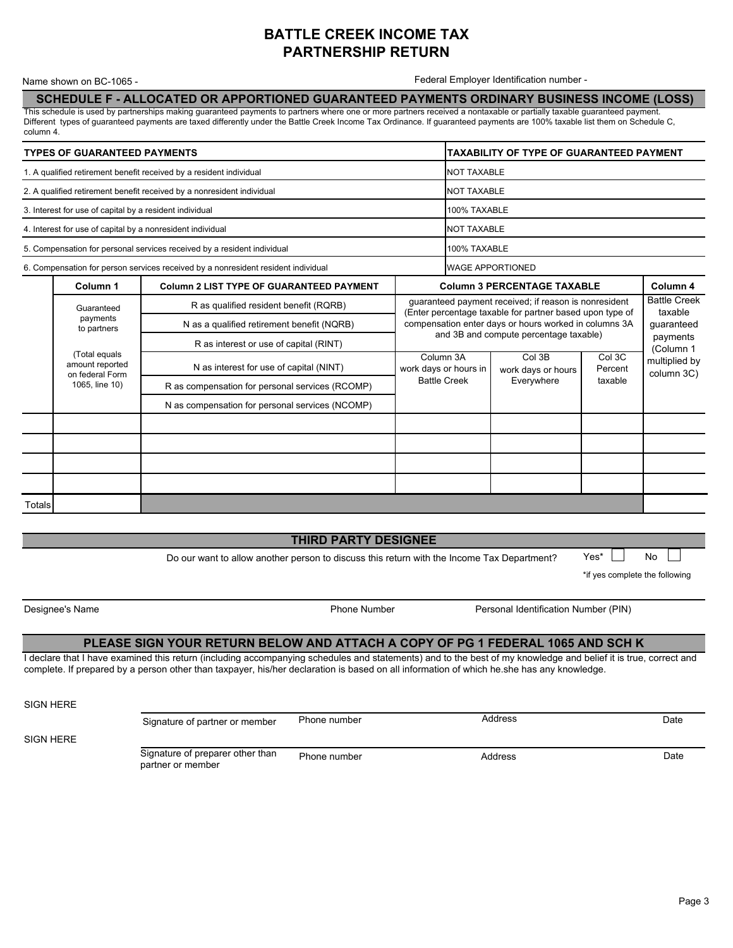## **BATTLE CREEK INCOME TAX PARTNERSHIP RETURN**

Name shown on BC-1065 -

Federal Employer Identification number -

SCHEDULE F - ALLOCATED OR APPORTIONED GUARANTEED PAYMENTS ORDINARY BUSINESS INCOME (LOSS)

This schedule is used by partnerships making guaranteed payments to partners where one or more partners received a nontaxable or partially taxable guaranteed payment. Different types of guaranteed payments are taxed differently under the Battle Creek Income Tax Ordinance. If guaranteed payments are 100% taxable list them on Schedule C, column 4.

| <b>TYPES OF GUARANTEED PAYMENTS</b>                                 |                                                            |                                                                                   | <b>TAXABILITY OF TYPE OF GUARANTEED PAYMENT</b>                                                                                                                                                                                            |                                    |  |                                     |                             |
|---------------------------------------------------------------------|------------------------------------------------------------|-----------------------------------------------------------------------------------|--------------------------------------------------------------------------------------------------------------------------------------------------------------------------------------------------------------------------------------------|------------------------------------|--|-------------------------------------|-----------------------------|
| 1. A qualified retirement benefit received by a resident individual |                                                            |                                                                                   |                                                                                                                                                                                                                                            | <b>NOT TAXABLE</b>                 |  |                                     |                             |
|                                                                     |                                                            | 2. A qualified retirement benefit received by a nonresident individual            |                                                                                                                                                                                                                                            | <b>NOT TAXABLE</b>                 |  |                                     |                             |
|                                                                     | 3. Interest for use of capital by a resident individual    |                                                                                   |                                                                                                                                                                                                                                            | 100% TAXABLE                       |  |                                     |                             |
|                                                                     | 4. Interest for use of capital by a nonresident individual |                                                                                   |                                                                                                                                                                                                                                            | <b>NOT TAXABLE</b>                 |  |                                     |                             |
|                                                                     |                                                            | 5. Compensation for personal services received by a resident individual           |                                                                                                                                                                                                                                            | 100% TAXABLE                       |  |                                     |                             |
|                                                                     |                                                            | 6. Compensation for person services received by a nonresident resident individual |                                                                                                                                                                                                                                            | <b>WAGE APPORTIONED</b>            |  |                                     |                             |
|                                                                     | Column <sub>1</sub>                                        | <b>Column 2 LIST TYPE OF GUARANTEED PAYMENT</b>                                   |                                                                                                                                                                                                                                            | <b>Column 3 PERCENTAGE TAXABLE</b> |  |                                     | Column 4                    |
|                                                                     | Guaranteed                                                 | R as qualified resident benefit (RQRB)                                            | guaranteed payment received; if reason is nonresident<br>(Enter percentage taxable for partner based upon type of                                                                                                                          |                                    |  | <b>Battle Creek</b><br>taxable      |                             |
|                                                                     | payments<br>to partners                                    | N as a qualified retirement benefit (NQRB)                                        | compensation enter days or hours worked in columns 3A<br>and 3B and compute percentage taxable)<br>Col 3B<br>Col 3C<br>Column 3A<br>work days or hours in<br>Percent<br>work days or hours<br><b>Battle Creek</b><br>Everywhere<br>taxable |                                    |  | guaranteed<br>payments<br>(Column 1 |                             |
|                                                                     |                                                            | R as interest or use of capital (RINT)                                            |                                                                                                                                                                                                                                            |                                    |  |                                     |                             |
|                                                                     | (Total equals<br>amount reported<br>on federal Form        | N as interest for use of capital (NINT)                                           |                                                                                                                                                                                                                                            |                                    |  |                                     | multiplied by<br>column 3C) |
|                                                                     | 1065, line 10)                                             | R as compensation for personal services (RCOMP)                                   |                                                                                                                                                                                                                                            |                                    |  |                                     |                             |
|                                                                     |                                                            | N as compensation for personal services (NCOMP)                                   |                                                                                                                                                                                                                                            |                                    |  |                                     |                             |
|                                                                     |                                                            |                                                                                   |                                                                                                                                                                                                                                            |                                    |  |                                     |                             |
|                                                                     |                                                            |                                                                                   |                                                                                                                                                                                                                                            |                                    |  |                                     |                             |
|                                                                     |                                                            |                                                                                   |                                                                                                                                                                                                                                            |                                    |  |                                     |                             |
|                                                                     |                                                            |                                                                                   |                                                                                                                                                                                                                                            |                                    |  |                                     |                             |
| Totals                                                              |                                                            |                                                                                   |                                                                                                                                                                                                                                            |                                    |  |                                     |                             |

### **THIRD PARTY DESIGNEE**

Do our want to allow another person to discuss this return with the Income Tax Department?

\*if yes complete the following

 $Yes<sup>*</sup>$ 

**No** 

Designee's Name

**Phone Number** 

Personal Identification Number (PIN)

#### PLEASE SIGN YOUR RETURN BELOW AND ATTACH A COPY OF PG 1 FEDERAL 1065 AND SCH K

I declare that I have examined this return (including accompanying schedules and statements) and to the best of my knowledge and belief it is true, correct and complete. If prepared by a person other than taxpayer, his/her declaration is based on all information of which he she has any knowledge.

SIGN HERE

| SIGN HERE | Signature of partner or member                        | Phone number | Address | Date |
|-----------|-------------------------------------------------------|--------------|---------|------|
|           | Signature of preparer other than<br>partner or member | Phone number | Address | Date |